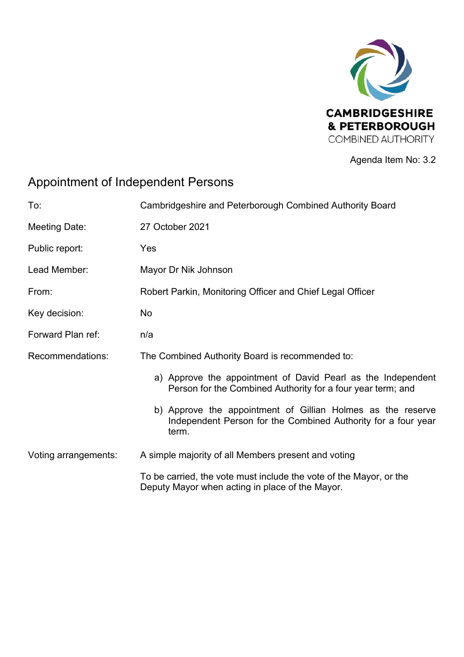

Agenda Item No: 3.2

# Appointment of Independent Persons

| To:                  | Cambridgeshire and Peterborough Combined Authority Board                                                                              |
|----------------------|---------------------------------------------------------------------------------------------------------------------------------------|
| Meeting Date:        | 27 October 2021                                                                                                                       |
| Public report:       | Yes                                                                                                                                   |
| Lead Member:         | Mayor Dr Nik Johnson                                                                                                                  |
| From:                | Robert Parkin, Monitoring Officer and Chief Legal Officer                                                                             |
| Key decision:        | No.                                                                                                                                   |
| Forward Plan ref:    | n/a                                                                                                                                   |
| Recommendations:     | The Combined Authority Board is recommended to:                                                                                       |
|                      | a) Approve the appointment of David Pearl as the Independent<br>Person for the Combined Authority for a four year term; and           |
|                      | b) Approve the appointment of Gillian Holmes as the reserve<br>Independent Person for the Combined Authority for a four year<br>term. |
| Voting arrangements: | A simple majority of all Members present and voting                                                                                   |
|                      | To be carried, the vote must include the vote of the Mayor, or the<br>Deputy Mayor when acting in place of the Mayor.                 |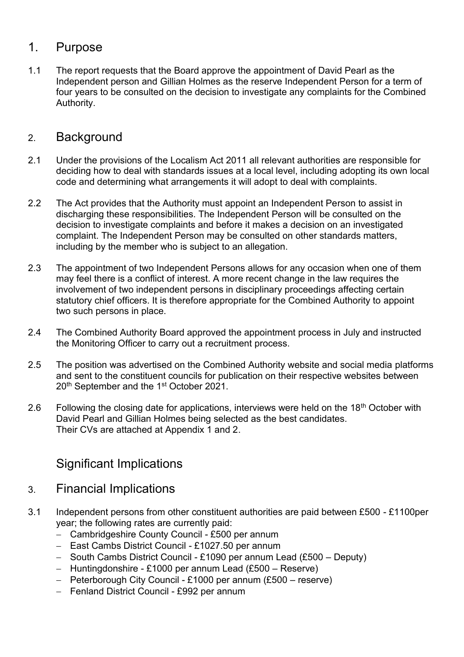#### 1. Purpose

1.1 The report requests that the Board approve the appointment of David Pearl as the Independent person and Gillian Holmes as the reserve Independent Person for a term of four years to be consulted on the decision to investigate any complaints for the Combined Authority.

### 2. Background

- 2.1 Under the provisions of the Localism Act 2011 all relevant authorities are responsible for deciding how to deal with standards issues at a local level, including adopting its own local code and determining what arrangements it will adopt to deal with complaints.
- 2.2 The Act provides that the Authority must appoint an Independent Person to assist in discharging these responsibilities. The Independent Person will be consulted on the decision to investigate complaints and before it makes a decision on an investigated complaint. The Independent Person may be consulted on other standards matters, including by the member who is subject to an allegation.
- 2.3 The appointment of two Independent Persons allows for any occasion when one of them may feel there is a conflict of interest. A more recent change in the law requires the involvement of two independent persons in disciplinary proceedings affecting certain statutory chief officers. It is therefore appropriate for the Combined Authority to appoint two such persons in place.
- 2.4 The Combined Authority Board approved the appointment process in July and instructed the Monitoring Officer to carry out a recruitment process.
- 2.5 The position was advertised on the Combined Authority website and social media platforms and sent to the constituent councils for publication on their respective websites between 20<sup>th</sup> September and the 1<sup>st</sup> October 2021.
- 2.6 Following the closing date for applications, interviews were held on the  $18<sup>th</sup>$  October with David Pearl and Gillian Holmes being selected as the best candidates. Their CVs are attached at Appendix 1 and 2.

## Significant Implications

- 3. Financial Implications
- 3.1 Independent persons from other constituent authorities are paid between £500 £1100per year; the following rates are currently paid:
	- − Cambridgeshire County Council £500 per annum
	- − East Cambs District Council £1027.50 per annum
	- − South Cambs District Council £1090 per annum Lead (£500 Deputy)
	- − Huntingdonshire £1000 per annum Lead (£500 Reserve)
	- − Peterborough City Council £1000 per annum (£500 reserve)
	- − Fenland District Council £992 per annum